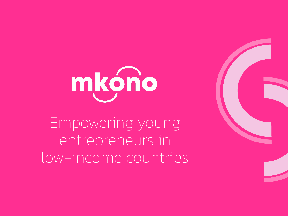# mkóno

Empowering young entrepreneurs in low-income countries

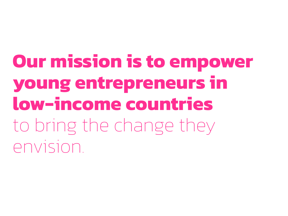**Our mission is to empower young entrepreneurs in low-income countries**  to bring the change they envision.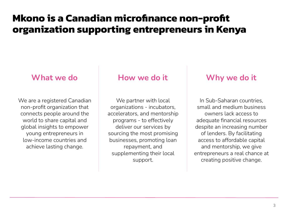# **Mkono is a Canadian microfinance non-profit organization supporting entrepreneurs in Kenya**

We are a registered Canadian non-profit organization that connects people around the world to share capital and global insights to empower young entrepreneurs in low-income countries and achieve lasting change.

### **What we do How we do it Why we do it**

We partner with local organizations - incubators, accelerators, and mentorship programs - to effectively deliver our services by sourcing the most promising businesses, promoting loan repayment, and supplementing their local support.

In Sub-Saharan countries, small and medium business owners lack access to adequate financial resources despite an increasing number of lenders. By facilitating access to affordable capital and mentorship, we give entrepreneurs a real chance at creating positive change.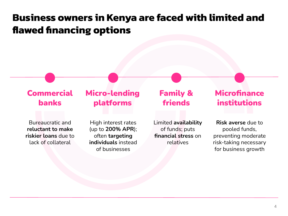# **Business owners in Kenya are faced with limited and flawed financing options**

#### **Commercial** banks Micro-lending platforms Family & friends **Microfinance** institutions Bureaucratic and **reluctant to make riskier loans** due to lack of collateral High interest rates (up to **200% APR**); often **targeting individuals** instead of businesses **Risk averse** due to pooled funds, preventing moderate risk-taking necessary for business growth Limited **availability** of funds; puts **financial stress** on relatives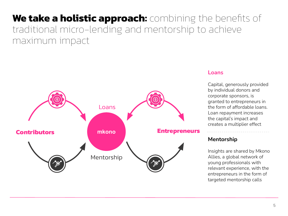# **We take a holistic approach:** combining the benefits of traditional micro-lending and mentorship to achieve maximum impact



#### **Loans**

Capital, generously provided by individual donors and corporate sponsors, is granted to entrepreneurs in the form of affordable loans. Loan repayment increases the capital's impact and creates a multiplier effect

#### **Mentorship**

Insights are shared by Mkono Allies, a global network of young professionals with relevant experience, with the entrepreneurs in the form of targeted mentorship calls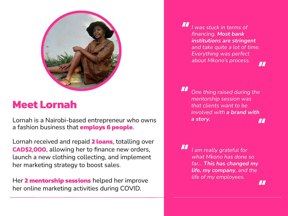

# **Meet Lornah**

Lornah is a Nairobi-based entrepreneur who owns a fashion business that **employs 6 people**.

Lornah received and repaid **2 loans**, totalling over **CAD\$2,000**, allowing her to finance new orders, launch a new clothing collecting, and implement her marketing strategy to boost sales.

Her **2 mentorship sessions** helped her improve her online marketing activities during COVID.

*I was stuck in terms of financing. Most bank institutions are stringent and take quite a lot of time. Everything was perfect about Mkono's process.* **" "**

*One thing raised during the mentorship session was that clients want to be involved with a brand with a story.*  **" "**

*I am really grateful for what Mkono has done so far... This has changed my life, my company, and the life of my employees.*  **"**

**"**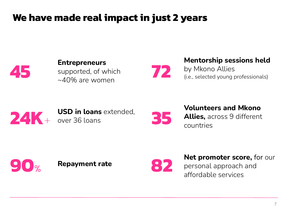# **We have made real impact in just 2 years**



**Entrepreneurs** supported, of which  $~10\%$  are women

**Mentorship sessions held** 

by Mkono Allies (i.e., selected young professionals)



**24K**+ **USD in loans** extended, over 36 loans



**72**

**Volunteers and Mkono Allies,** across 9 different countries





**Repayment rate 822 Net promoter score,** for our

personal approach and affordable services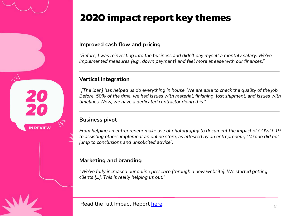# **2020 impact report key themes**

#### **Improved cash flow and pricing**

*"Before, I was reinvesting into the business and didn't pay myself a monthly salary. We've implemented measures (e.g., down payment) and feel more at ease with our finances."*

#### **Vertical integration**

*"[The loan] has helped us do everything in house. We are able to check the quality of the job. Before, 50% of the time, we had issues with material, finishing, lost shipment, and issues with timelines. Now, we have a dedicated contractor doing this."*

#### **Business pivot**

**IN REVIEW** 

*From helping an entrepreneur make use of photography to document the impact of COVID-19 to assisting others implement an online store, as attested by an entrepreneur, "Mkono did not jump to conclusions and unsolicited advice".*

#### **Marketing and branding**

*"We've fully increased our online presence [through a new website]. We started getting clients [...]. This is really helping us out."*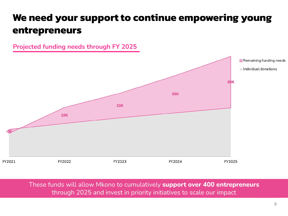# **We need your support to continue empowering young entrepreneurs**

**Projected funding needs through FY 2025**



These funds will allow Mkono to cumulatively **support over 400 entrepreneurs** through 2025 and invest in priority initiatives to scale our impact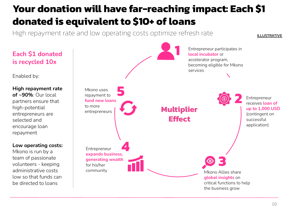# **Your donation will have far-reaching impact: Each \$1 donated is equivalent to \$10+ of loans**

High repayment rate and low operating costs optimize refresh rate

## **Each \$1 donated is recycled 10x**

Enabled by:

**High repayment rate of ~90%**: Our local partners ensure that high-potential entrepreneurs are selected and encourage loan repayment

**Low operating costs:**

Mkono is run by a team of passionate volunteers - keeping administrative costs low so that funds can be directed to loans



ILLUSTRATIVE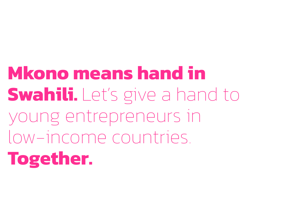**Mkono means hand in Swahili.** Let's give a hand to young entrepreneurs in low-income countries. **Together.**